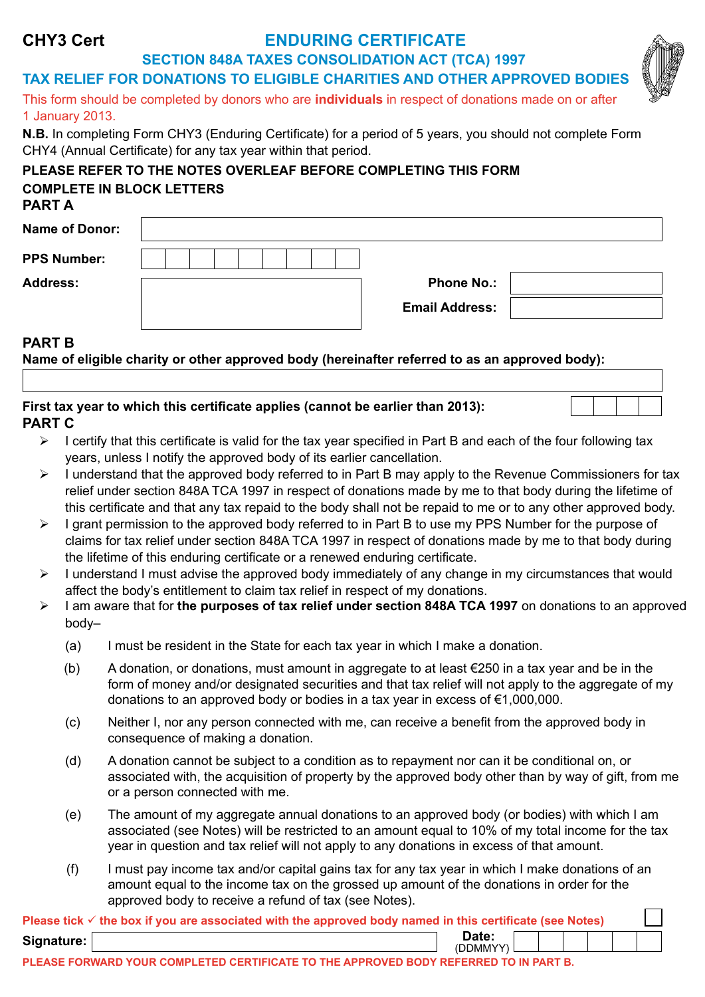# **SECTION 848A TAXES CONSOLIDATION ACT (TCA) 1997 TAX RELIEF FOR DONATIONS TO ELIGIBLE CHARITIES AND OTHER APPROVED BODIES** This form should be completed by donors who are **individuals** in respect of donations made on or after 1 January 2013. **N.B.** In completing Form CHY3 (Enduring Certificate) for a period of 5 years, you should not complete Form CHY4 (Annual Certificate) for any tax year within that period. **PLEASE REFER TO THE NOTES OVERLEAF BEFORE COMPLETING THIS FORM COMPLETE IN BLOCK LETTERS PART A**

| Name of Donor:     |                       |  |
|--------------------|-----------------------|--|
| <b>PPS Number:</b> |                       |  |
| <b>Address:</b>    | <b>Phone No.:</b>     |  |
|                    | <b>Email Address:</b> |  |
| .                  |                       |  |

# **PART B**

**Name of eligible charity or other approved body (hereinafter referred to as an approved body):**

# **PART C First tax year to which this certificate applies (cannot be earlier than 2013):**

- $\triangleright$  I certify that this certificate is valid for the tax year specified in Part B and each of the four following tax years, unless I notify the approved body of its earlier cancellation.
- $\geq 1$  understand that the approved body referred to in Part B may apply to the Revenue Commissioners for tax relief under section 848A TCA 1997 in respect of donations made by me to that body during the lifetime of this certificate and that any tax repaid to the body shall not be repaid to me or to any other approved body.
- ¾ I grant permission to the approved body referred to in Part B to use my PPS Number for the purpose of claims for tax relief under section 848A TCA 1997 in respect of donations made by me to that body during the lifetime of this enduring certificate or a renewed enduring certificate.
- $\triangleright$  I understand I must advise the approved body immediately of any change in my circumstances that would affect the body's entitlement to claim tax relief in respect of my donations.
- ¾ I am aware that for **the purposes of tax relief under section 848A TCA 1997** on donations to an approved body–
	- (a) I must be resident in the State for each tax year in which I make a donation.
	- (b) A donation, or donations, must amount in aggregate to at least  $\epsilon$ 250 in a tax year and be in the form of money and/or designated securities and that tax relief will not apply to the aggregate of my donations to an approved body or bodies in a tax year in excess of €1,000,000.
	- (c) Neither I, nor any person connected with me, can receive a benefit from the approved body in consequence of making a donation.
	- (d) A donation cannot be subject to a condition as to repayment nor can it be conditional on, or associated with, the acquisition of property by the approved body other than by way of gift, from me or a person connected with me.
	- (e) The amount of my aggregate annual donations to an approved body (or bodies) with which I am associated (see Notes) will be restricted to an amount equal to 10% of my total income for the tax year in question and tax relief will not apply to any donations in excess of that amount.
	- (f) I must pay income tax and/or capital gains tax for any tax year in which I make donations of an amount equal to the income tax on the grossed up amount of the donations in order for the approved body to receive a refund of tax (see Notes).  $\blacksquare$

|            | Please tick $\checkmark$ the box if you are associated with the approved body named in this certificate (see Notes) |  |  |  |  |
|------------|---------------------------------------------------------------------------------------------------------------------|--|--|--|--|
| Signature: | Date:<br>(DDMMYY)                                                                                                   |  |  |  |  |
|            |                                                                                                                     |  |  |  |  |

**PLEASE FORWARD YOUR COMPLETED CERTIFICATE TO THE APPROVED BODY REFERRED TO IN PART B.**



# **ENDURING CERTIFICATE**

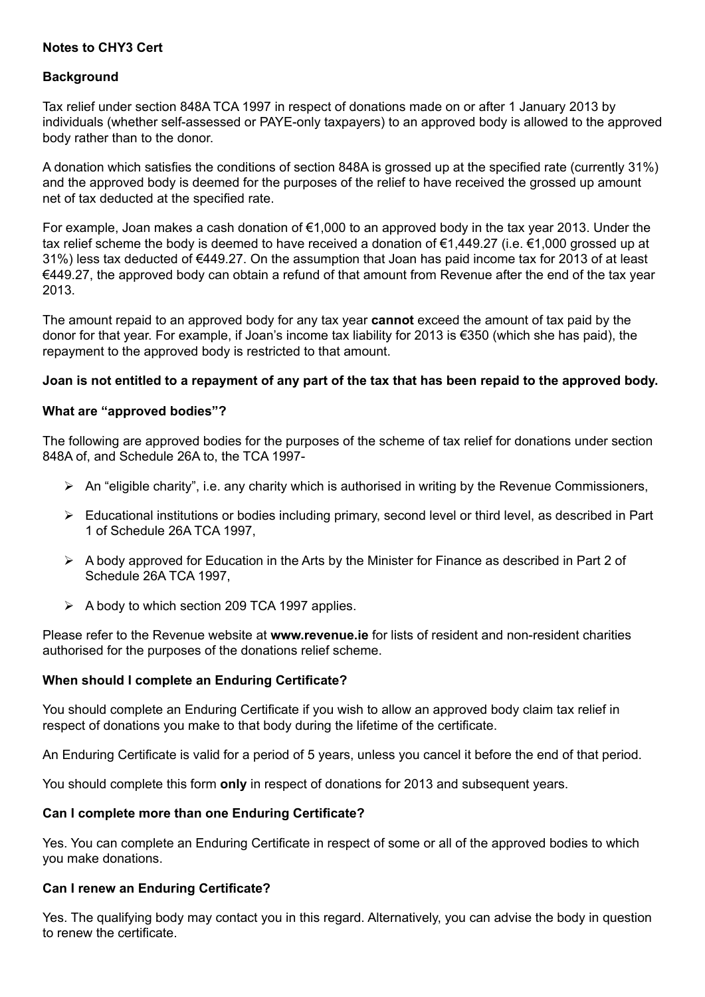# **Notes to CHY3 Cert**

# **Background**

Tax relief under section 848A TCA 1997 in respect of donations made on or after 1 January 2013 by individuals (whether self-assessed or PAYE-only taxpayers) to an approved body is allowed to the approved body rather than to the donor.

A donation which satisfies the conditions of section 848A is grossed up at the specified rate (currently 31%) and the approved body is deemed for the purposes of the relief to have received the grossed up amount net of tax deducted at the specified rate.

For example, Joan makes a cash donation of €1,000 to an approved body in the tax year 2013. Under the tax relief scheme the body is deemed to have received a donation of €1,449.27 (i.e. €1,000 grossed up at 31%) less tax deducted of €449.27. On the assumption that Joan has paid income tax for 2013 of at least €449.27, the approved body can obtain a refund of that amount from Revenue after the end of the tax year 2013.

The amount repaid to an approved body for any tax year **cannot** exceed the amount of tax paid by the donor for that year. For example, if Joan's income tax liability for 2013 is €350 (which she has paid), the repayment to the approved body is restricted to that amount.

# **Joan is not entitled to a repayment of any part of the tax that has been repaid to the approved body.**

# **What are "approved bodies"?**

The following are approved bodies for the purposes of the scheme of tax relief for donations under section 848A of, and Schedule 26A to, the TCA 1997-

- $\triangleright$  An "eligible charity", i.e. any charity which is authorised in writing by the Revenue Commissioners,
- ¾ Educational institutions or bodies including primary, second level or third level, as described in Part 1 of Schedule 26A TCA 1997,
- $\triangleright$  A body approved for Education in the Arts by the Minister for Finance as described in Part 2 of Schedule 26A TCA 1997,
- $\triangleright$  A body to which section 209 TCA 1997 applies.

Please refer to the Revenue website at **www.revenue.ie** for lists of resident and non-resident charities authorised for the purposes of the donations relief scheme.

# **When should I complete an Enduring Certificate?**

You should complete an Enduring Certificate if you wish to allow an approved body claim tax relief in respect of donations you make to that body during the lifetime of the certificate.

An Enduring Certificate is valid for a period of 5 years, unless you cancel it before the end of that period.

You should complete this form **only** in respect of donations for 2013 and subsequent years.

# **Can I complete more than one Enduring Certificate?**

Yes. You can complete an Enduring Certificate in respect of some or all of the approved bodies to which you make donations.

# **Can I renew an Enduring Certificate?**

Yes. The qualifying body may contact you in this regard. Alternatively, you can advise the body in question to renew the certificate.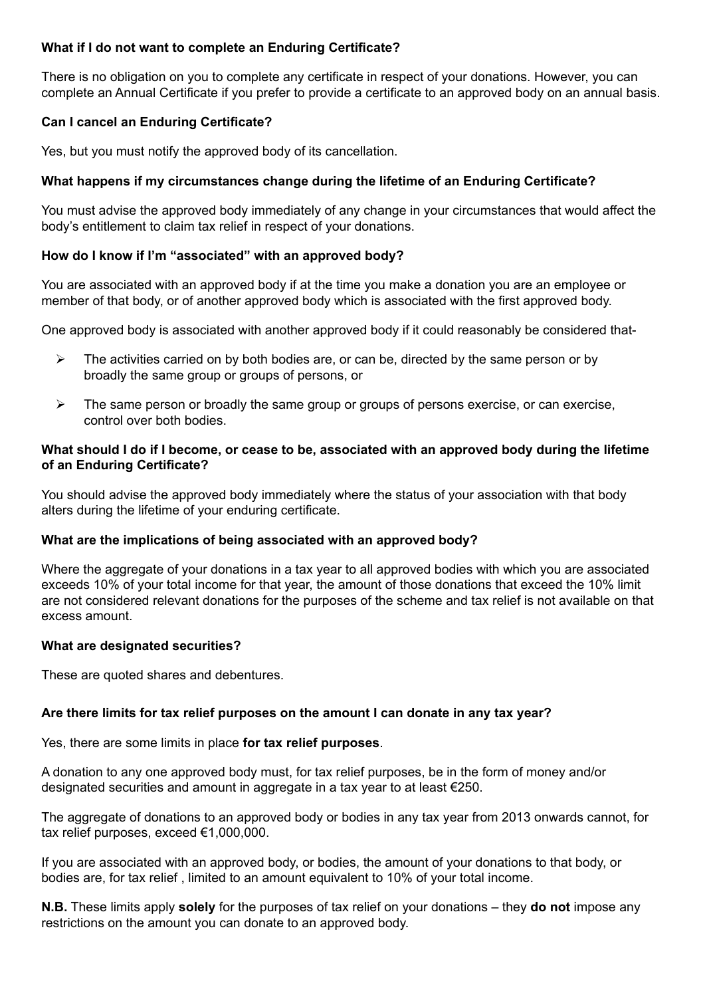# **What if I do not want to complete an Enduring Certificate?**

There is no obligation on you to complete any certificate in respect of your donations. However, you can complete an Annual Certificate if you prefer to provide a certificate to an approved body on an annual basis.

# **Can I cancel an Enduring Certificate?**

Yes, but you must notify the approved body of its cancellation.

# **What happens if my circumstances change during the lifetime of an Enduring Certificate?**

You must advise the approved body immediately of any change in your circumstances that would affect the body's entitlement to claim tax relief in respect of your donations.

# **How do I know if I'm "associated" with an approved body?**

You are associated with an approved body if at the time you make a donation you are an employee or member of that body, or of another approved body which is associated with the first approved body.

One approved body is associated with another approved body if it could reasonably be considered that-

- $\triangleright$  The activities carried on by both bodies are, or can be, directed by the same person or by broadly the same group or groups of persons, or
- $\triangleright$  The same person or broadly the same group or groups of persons exercise, or can exercise, control over both bodies.

#### **What should I do if I become, or cease to be, associated with an approved body during the lifetime of an Enduring Certificate?**

You should advise the approved body immediately where the status of your association with that body alters during the lifetime of your enduring certificate.

# **What are the implications of being associated with an approved body?**

Where the aggregate of your donations in a tax year to all approved bodies with which you are associated exceeds 10% of your total income for that year, the amount of those donations that exceed the 10% limit are not considered relevant donations for the purposes of the scheme and tax relief is not available on that excess amount.

#### **What are designated securities?**

These are quoted shares and debentures.

# **Are there limits for tax relief purposes on the amount I can donate in any tax year?**

Yes, there are some limits in place **for tax relief purposes**.

A donation to any one approved body must, for tax relief purposes, be in the form of money and/or designated securities and amount in aggregate in a tax year to at least  $\epsilon$ 250.

The aggregate of donations to an approved body or bodies in any tax year from 2013 onwards cannot, for tax relief purposes, exceed €1,000,000.

If you are associated with an approved body, or bodies, the amount of your donations to that body, or bodies are, for tax relief , limited to an amount equivalent to 10% of your total income.

**N.B.** These limits apply **solely** for the purposes of tax relief on your donations – they **do not** impose any restrictions on the amount you can donate to an approved body.